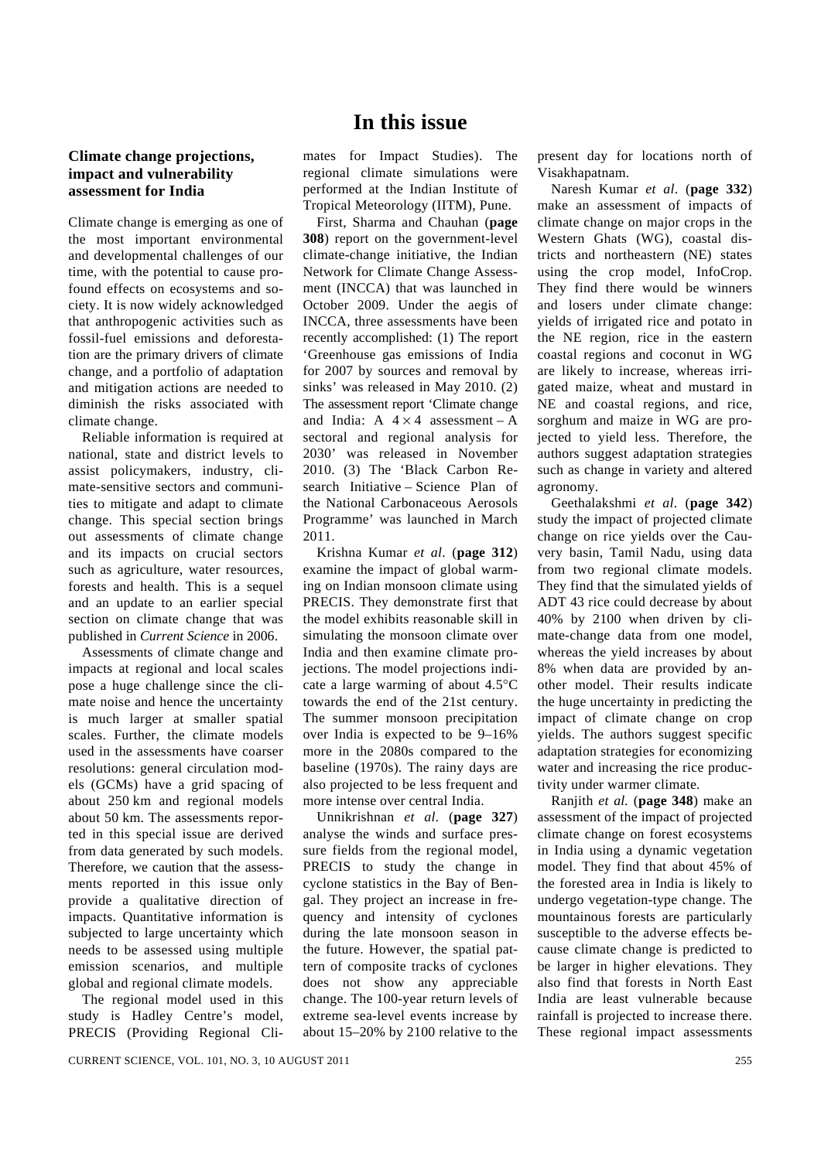## **In this issue**

## **Climate change projections, impact and vulnerability assessment for India**

Climate change is emerging as one of the most important environmental and developmental challenges of our time, with the potential to cause profound effects on ecosystems and society. It is now widely acknowledged that anthropogenic activities such as fossil-fuel emissions and deforestation are the primary drivers of climate change, and a portfolio of adaptation and mitigation actions are needed to diminish the risks associated with climate change.

 Reliable information is required at national, state and district levels to assist policymakers, industry, climate-sensitive sectors and communities to mitigate and adapt to climate change. This special section brings out assessments of climate change and its impacts on crucial sectors such as agriculture, water resources, forests and health. This is a sequel and an update to an earlier special section on climate change that was published in *Current Science* in 2006.

 Assessments of climate change and impacts at regional and local scales pose a huge challenge since the climate noise and hence the uncertainty is much larger at smaller spatial scales. Further, the climate models used in the assessments have coarser resolutions: general circulation models (GCMs) have a grid spacing of about 250 km and regional models about 50 km. The assessments reported in this special issue are derived from data generated by such models. Therefore, we caution that the assessments reported in this issue only provide a qualitative direction of impacts. Quantitative information is subjected to large uncertainty which needs to be assessed using multiple emission scenarios, and multiple global and regional climate models.

 The regional model used in this study is Hadley Centre's model, PRECIS (Providing Regional Cli-

mates for Impact Studies). The regional climate simulations were performed at the Indian Institute of Tropical Meteorology (IITM), Pune.

 First, Sharma and Chauhan (**page 308**) report on the government-level climate-change initiative, the Indian Network for Climate Change Assessment (INCCA) that was launched in October 2009. Under the aegis of INCCA, three assessments have been recently accomplished: (1) The report 'Greenhouse gas emissions of India for 2007 by sources and removal by sinks' was released in May 2010. (2) The assessment report 'Climate change and India:  $A \times 4$  assessment – A sectoral and regional analysis for 2030' was released in November 2010. (3) The 'Black Carbon Research Initiative – Science Plan of the National Carbonaceous Aerosols Programme' was launched in March 2011.

Krishna Kumar *et al*. (**page 312**) examine the impact of global warming on Indian monsoon climate using PRECIS. They demonstrate first that the model exhibits reasonable skill in simulating the monsoon climate over India and then examine climate projections. The model projections indicate a large warming of about 4.5°C towards the end of the 21st century. The summer monsoon precipitation over India is expected to be 9–16% more in the 2080s compared to the baseline (1970s). The rainy days are also projected to be less frequent and more intense over central India.

Unnikrishnan *et al*. (**page 327**) analyse the winds and surface pressure fields from the regional model, PRECIS to study the change in cyclone statistics in the Bay of Bengal. They project an increase in frequency and intensity of cyclones during the late monsoon season in the future. However, the spatial pattern of composite tracks of cyclones does not show any appreciable change. The 100-year return levels of extreme sea-level events increase by about 15–20% by 2100 relative to the present day for locations north of Visakhapatnam.

Naresh Kumar *et al*. (**page 332**) make an assessment of impacts of climate change on major crops in the Western Ghats (WG), coastal districts and northeastern (NE) states using the crop model, InfoCrop. They find there would be winners and losers under climate change: yields of irrigated rice and potato in the NE region, rice in the eastern coastal regions and coconut in WG are likely to increase, whereas irrigated maize, wheat and mustard in NE and coastal regions, and rice, sorghum and maize in WG are projected to yield less. Therefore, the authors suggest adaptation strategies such as change in variety and altered agronomy.

Geethalakshmi *et al*. (**page 342**) study the impact of projected climate change on rice yields over the Cauvery basin, Tamil Nadu, using data from two regional climate models. They find that the simulated yields of ADT 43 rice could decrease by about 40% by 2100 when driven by climate-change data from one model, whereas the yield increases by about 8% when data are provided by another model. Their results indicate the huge uncertainty in predicting the impact of climate change on crop yields. The authors suggest specific adaptation strategies for economizing water and increasing the rice productivity under warmer climate.

Ranjith *et al.* (**page 348**) make an assessment of the impact of projected climate change on forest ecosystems in India using a dynamic vegetation model. They find that about 45% of the forested area in India is likely to undergo vegetation-type change. The mountainous forests are particularly susceptible to the adverse effects because climate change is predicted to be larger in higher elevations. They also find that forests in North East India are least vulnerable because rainfall is projected to increase there. These regional impact assessments